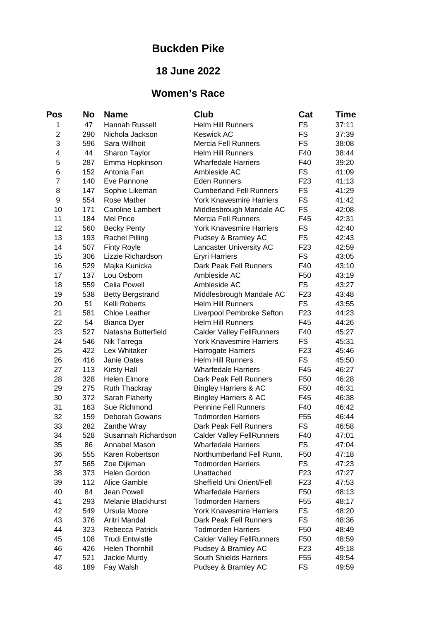## **Buckden Pike**

## **18 June 2022**

## **Women's Race**

| Pos            | No  | <b>Name</b>             | Club                             | Cat             | Time  |
|----------------|-----|-------------------------|----------------------------------|-----------------|-------|
| 1              | 47  | Hannah Russell          | <b>Helm Hill Runners</b>         | <b>FS</b>       | 37:11 |
| $\overline{c}$ | 290 | Nichola Jackson         | <b>Keswick AC</b>                | <b>FS</b>       | 37:39 |
| 3              | 596 | Sara Willhoit           | <b>Mercia Fell Runners</b>       | <b>FS</b>       | 38:08 |
| $\overline{4}$ | 44  | Sharon Taylor           | <b>Helm Hill Runners</b>         | F40             | 38:44 |
| 5              | 287 | Emma Hopkinson          | <b>Wharfedale Harriers</b>       | F40             | 39:20 |
| 6              | 152 | Antonia Fan             | Ambleside AC                     | <b>FS</b>       | 41:09 |
| $\overline{7}$ | 140 | Eve Pannone             | <b>Eden Runners</b>              | F <sub>23</sub> | 41:13 |
| 8              | 147 | Sophie Likeman          | <b>Cumberland Fell Runners</b>   | <b>FS</b>       | 41:29 |
| 9              | 554 | Rose Mather             | <b>York Knavesmire Harriers</b>  | <b>FS</b>       | 41:42 |
| 10             | 171 | Caroline Lambert        | Middlesbrough Mandale AC         | <b>FS</b>       | 42:08 |
| 11             | 184 | <b>Mel Price</b>        | <b>Mercia Fell Runners</b>       | F45             | 42:31 |
| 12             | 560 | <b>Becky Penty</b>      | <b>York Knavesmire Harriers</b>  | <b>FS</b>       | 42:40 |
| 13             | 193 | <b>Rachel Pilling</b>   | Pudsey & Bramley AC              | <b>FS</b>       | 42:43 |
| 14             | 507 | Finty Royle             | Lancaster University AC          | F <sub>23</sub> | 42:59 |
| 15             | 306 | Lizzie Richardson       | <b>Eryri Harriers</b>            | <b>FS</b>       | 43:05 |
| 16             | 529 | Majka Kunicka           | Dark Peak Fell Runners           | F40             | 43:10 |
| 17             | 137 | Lou Osborn              | Ambleside AC                     | F50             | 43:19 |
| 18             | 559 | Celia Powell            | Ambleside AC                     | <b>FS</b>       | 43:27 |
| 19             | 538 | <b>Betty Bergstrand</b> | Middlesbrough Mandale AC         | F <sub>23</sub> | 43:48 |
| 20             | 51  | Kelli Roberts           | <b>Helm Hill Runners</b>         | <b>FS</b>       | 43:55 |
| 21             | 581 | Chloe Leather           | Liverpool Pembroke Sefton        | F <sub>23</sub> | 44:23 |
| 22             | 54  | <b>Bianca Dyer</b>      | <b>Helm Hill Runners</b>         | F45             | 44:26 |
| 23             | 527 | Natasha Butterfield     | <b>Calder Valley FellRunners</b> | F40             | 45:27 |
| 24             | 546 | Nik Tarrega             | <b>York Knavesmire Harriers</b>  | <b>FS</b>       | 45:31 |
| 25             | 422 | Lex Whitaker            | Harrogate Harriers               | F <sub>23</sub> | 45:46 |
| 26             | 416 | Janie Oates             | Helm Hill Runners                | <b>FS</b>       | 45:50 |
| 27             | 113 | <b>Kirsty Hall</b>      | <b>Wharfedale Harriers</b>       | F45             | 46:27 |
| 28             | 328 | <b>Helen Elmore</b>     | Dark Peak Fell Runners           | F50             | 46:28 |
| 29             | 275 | Ruth Thackray           | Bingley Harriers & AC            | F50             | 46:31 |
| 30             | 372 | Sarah Flaherty          | Bingley Harriers & AC            | F45             | 46:38 |
| 31             | 163 | Sue Richmond            | <b>Pennine Fell Runners</b>      | F40             | 46:42 |
| 32             | 159 | Deborah Gowans          | <b>Todmorden Harriers</b>        | F <sub>55</sub> | 46:44 |
| 33             | 282 | Zanthe Wray             | Dark Peak Fell Runners           | <b>FS</b>       | 46:58 |
| 34             | 528 | Susannah Richardson     | <b>Calder Valley FellRunners</b> | F40             | 47:01 |
| 35             | 86  | Annabel Mason           | <b>Wharfedale Harriers</b>       | <b>FS</b>       | 47:04 |
| 36             | 555 | Karen Robertson         | Northumberland Fell Runn.        | F50             | 47:18 |
| 37             | 565 | Zoe Dijkman             | <b>Todmorden Harriers</b>        | FS              | 47:23 |
| 38             | 373 | Helen Gordon            | Unattached                       | F <sub>23</sub> | 47:27 |
| 39             | 112 | Alice Gamble            | Sheffield Uni Orient/Fell        | F <sub>23</sub> | 47:53 |
| 40             | 84  | Jean Powell             | <b>Wharfedale Harriers</b>       | F50             | 48:13 |
| 41             | 293 | Melanie Blackhurst      | <b>Todmorden Harriers</b>        | F <sub>55</sub> | 48:17 |
| 42             | 549 | Ursula Moore            | <b>York Knavesmire Harriers</b>  | <b>FS</b>       | 48:20 |
| 43             | 376 | Aritri Mandal           | Dark Peak Fell Runners           | <b>FS</b>       | 48:36 |
| 44             | 323 | Rebecca Patrick         | <b>Todmorden Harriers</b>        | F <sub>50</sub> | 48:49 |
| 45             | 108 | <b>Trudi Entwistle</b>  | <b>Calder Valley FellRunners</b> | F50             | 48:59 |
| 46             | 426 | Helen Thornhill         | Pudsey & Bramley AC              | F <sub>23</sub> | 49:18 |
| 47             | 521 | Jackie Murdy            | South Shields Harriers           | F <sub>55</sub> | 49:54 |
| 48             | 189 | Fay Walsh               | Pudsey & Bramley AC              | <b>FS</b>       | 49:59 |